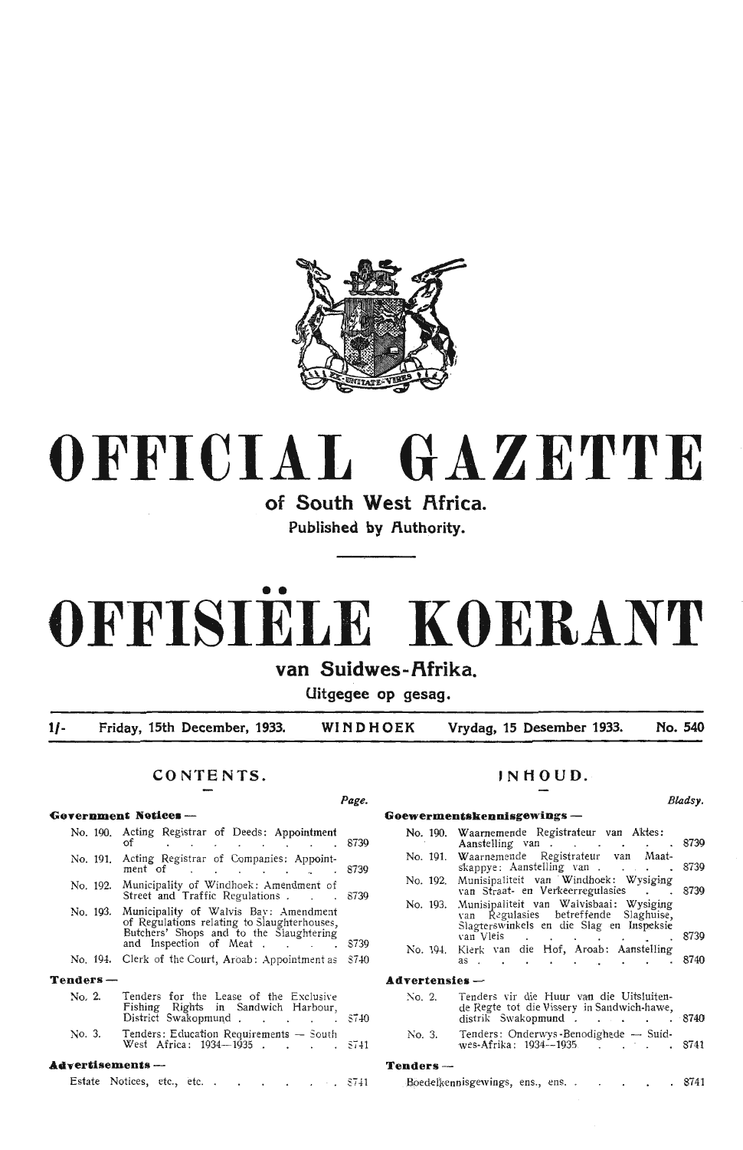

## **OFFICIAL GAZETTE**

**of South West Africa. Published by Authority.** 

# •• **OFFISIELE KOERANT**

## van Suidwes-Afrika.

**Uitgegee op gesag.** 

**1/- Friday, 15th December, 1933. WINDHOEK Vrydag, 15 Desember 1933. No. 540** 

*Page.* 

### **CONTENTS.**

#### **Government Notices -**

|                    | No. 190. Acting Registrar of Deeds: Appointment<br>of $\cdots$ . $\cdots$                                                                                          | 8739  |
|--------------------|--------------------------------------------------------------------------------------------------------------------------------------------------------------------|-------|
| No. 191.           | Acting Registrar of Companies: Appoint-<br>ment of $\qquad \qquad \ldots \qquad \qquad \ldots$                                                                     | 8739  |
|                    | No. 192. Municipality of Windhoek: Amendment of<br>Street and Traffic Regulations                                                                                  | 8739  |
|                    | No. 193. Municipality of Walvis Bay: Amendment<br>of Regulations relating to Slaughterhouses,<br>Butchers' Shops and to the Slaughtering<br>and Inspection of Meat | 8739  |
|                    | No. 194. Clerk of the Court, Aroab: Appointment as                                                                                                                 | S740  |
| Tenders-           |                                                                                                                                                                    |       |
| No. 2.             | Tenders for the Lease of the Exclusive<br>Fishing Rights in Sandwich Harbour,<br>District Swakopmund                                                               | \$740 |
| No. 3.             | Tenders: Education Requirements — South<br>West Africa: 1934—1935. 5741                                                                                            |       |
| Advertisements --- |                                                                                                                                                                    |       |
|                    |                                                                                                                                                                    |       |

### **,NHOUD.**

**Goewermentskennbgewings** -

#### **B/,adsy.**

| No. 190.         | Waarnemende Registrateur van Aktes:<br>Aanstelling van 8739                                                                           |      |
|------------------|---------------------------------------------------------------------------------------------------------------------------------------|------|
|                  | No. 191. Waarnemende Registrateur van Maat-<br>skappye: Aanstelling van 8739                                                          |      |
| No. 192.         | Munisipaliteit van Windhoek: Wysiging<br>van Straat- en Verkeerregulasies                                                             | 8739 |
|                  | No. 193. Munisipaliteit van Walvisbaai: Wysiging<br>van Regulasies betreffende Slaghuise,<br>Slagterswinkels en die Slag en Inspeksie |      |
|                  | van Vleis                                                                                                                             | 8739 |
|                  | No. 194. Klerk van die Hof, Aroab: Aanstelling<br>as 8740                                                                             |      |
| $Advertensies -$ |                                                                                                                                       |      |
| No. 2.           | Tenders vir die Huur van die Uitsluiten-<br>de Regte tot die Vissery in Sandwich-hawe,<br>distrik Swakopmund. 8740                    |      |
| No. 3.           | Tenders: Onderwys-Benodighede - Suid-<br>wes-Afrika: 1934--1935. 8741                                                                 |      |
| Tenders —        |                                                                                                                                       |      |

Estate Notices, etc., etc. . . . . .  $\mathbb{S}741$ 

Boedelkennisgewings, ens., ens. . . . . . 874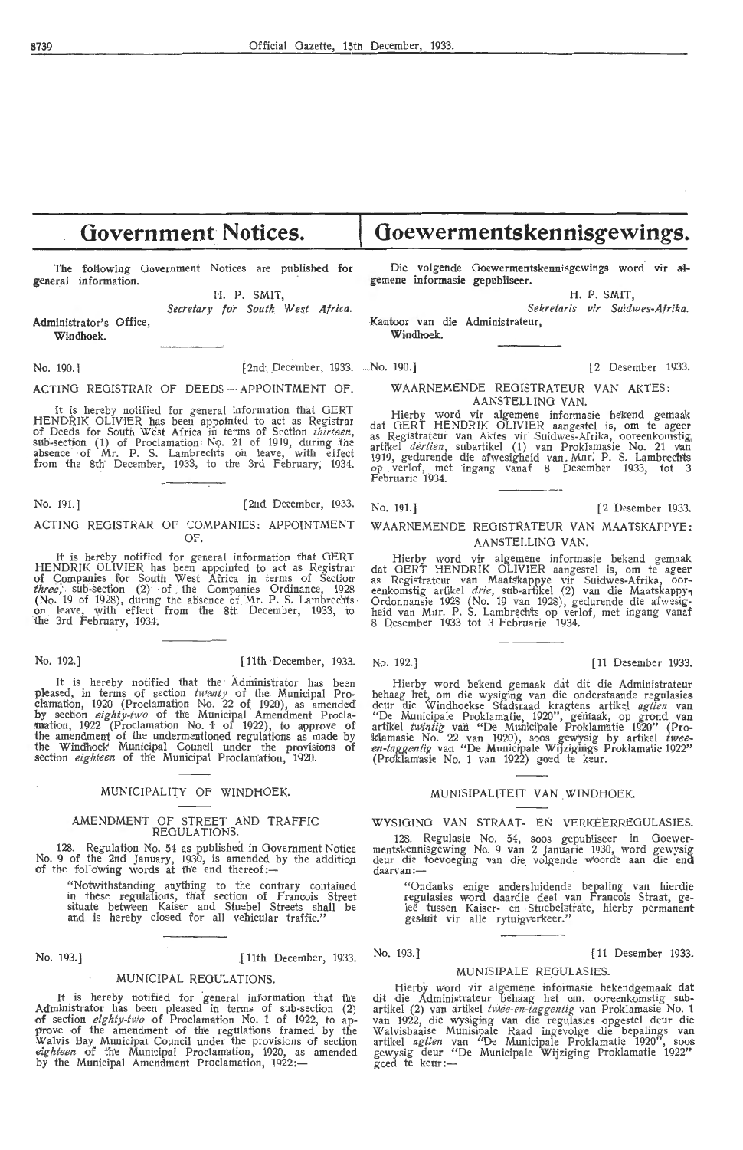## **Government Notices.**

The following Government Notices are published for general information.

> H. P. SMIT, Secretary for South West Africa.

Administrator's Office, Windhoek.

No. 190.] [2nd December, 1933. No. 190.] [2 Desember 1933.

ACTING REGISTRAR OF DEEDS --- APPOINTMENT OF.

It is hereby notified for general information that GERT HENDRIK OLIVIER has been appointed to act as Registrar of Deeds for South West Africa in terms of Section *thirteen*, sub-section (1) of Proclamation No. 21 of 1919, during the absence of Mr. P. S. Lambrechts on leave, with effect from the 8th' December, 1933, to the 3rd February, 1934.

No. 191.] [2nd December, 1933.

#### ACTING REGISTRAR OF COMPANIES: APPOINTMENT OF.

It is her-eby notified for general information that GERT HENDRIK OLIVIER has been appointed to act as Registrar of Companies for South West Africa in terms of Section *three*, sub-section (2) of the Companies Ordinance, 1928 (No. 19 of 1928), during the absence of Mr. P. S. Lambrechts on leave, with effect from the 8th December, 1933, to on leave, with effect<br>the 3rd February, 1934.

No. 192.] [11th December, 1933. No. 192.] [11 Desember 1933.

It is hereby notified that the Administrator has been pleased, in terms of section  $tw\text{-}empty$  of the Municipal Proclamation, 1920 (Proclamation No. 22 of 1920), as amended by section *eighty-two* of the Municipal Amendment Procla-<br>**mation, 1922** (Proclamation No. 1 of 1922), to approve of the amendment of the undermeniioned regulations as made by the Windhoek Municipal Council under the provisions of section *eighteen* of the Municipal Proclamation, 1920.

#### MUNfCIPALITY OF WINDfiOEK.

#### AMENDMENT OF STREET AND TRAFFIC REGULATIONS.

128. Regulation No. 54 as published in Government Notice No. 9 of the 2nd January, 1930, is amended by the addition of the following words at the end thereof:-

"Notwithstanding anything to the contrary contained in these regulations, that section of Francois Street situate betw'een Kaiser and Stuebe! Streets shall be and is hereby closed for all vehicular traffic."

No. 193.] [ 11th December, 1933.

#### MUNICIPAL REGULATIONS.

It is hereby notified for general information that the Administrator has been pleased in terms of sub-section *(2)* of section *eighty-two* of Proclamation No. 1 of 1922, to ap-<br>prove of the amendment of the regulations framed by the .Walvis Bay Municipal Council under the provisions of section *eighteen* of the Municipal Proclamation, 1920, as amended by the Municipal Amendment Proclamation, 1922:-

**Goewermentskennisgewings.** 

Die volgende Goewermentskennisgewings word vir algemene informasie gepubliseer.

H. P. SMIT,

*Sekr etaris vir Suidwes-Afrika.*  Kantoor van die Administrateur,

Windhoek.

WAARNEMENDE REGISTRATEUR VAN AKTES: AANSTELLING VAN.

Hierby word vir algemene informasie bekend gemaak<br>dat GERT HENDRIK OLIVIER aangestel is, om te ageer<br>as Registrateur van Aktes vir Suidwes-Afrika, ooreenkomstig dat GERT HENDRIK OLIVIER aangestel is, om te ageer<br>as Registrateur van Aktes vir Suidwes-Afrika, ooreenkomstig,<br>artikel *dertien*, subartikel (1) van Proklamasie No. 21 van 1919, gedurende die afwesigheid van Mnr. P. S. Lambrechts op verlof, met ingang vanaf 8 Desember 1933, tot 3 Februarie 1934.

#### No. 191.) [2 Desember 1933.

#### WAARNEMENDE REGISTRATEUR VAN MAATSKAPPYE : AANSTEI.LING VAN.

Hierby word vir algemene informasie bekend gemaak dat GERT HENDRIK OLIVIER aangestel is, om te ageer as Registrateur van Maats'kappye vir Suidwes-Afrika, oor-<br>eenkomstig artikel *drie,* sub-artikel (2) van die Maatskappy-, Ordonnansie 1928 (No. 19 van 1928), gedurende die afwesig-<br>heid van Mnr. P. S. Lambrechts op verlof, met ingang vanaf 8 Desember 1933 tot 3 Februarie 1934.

Hierby word bekend gemaak dat dit die Administrateur behaag het, om die wysiging van die onderstaande regulasies deur die Windhoekse Stadsraad kragtens artikel *agtien* van<br>"De Municipale Proklamatie, 1920", gemaak, op grond van<br>artikel *twintig* van "De Municipale Proklamatie 1920" (Pro-<br>klamasie No. 22 van 1920), soos gewysig by ar (Pro'klamasie No. 1 van 1922) goed te keur.

#### MUNISIPALITEIT VAN WINDHOEK.

#### WYSIOING VAN STRAAT- EN VERKEERREGULASIES.

128. Regulasie No. 54, soos gepubliseer in Goewer- mentskennisgewing No. 9 van 2 Januarie 1930, word gewysig deur die toevoeging van die volgende woorde aan die end daarvan:

"Ondanks enige andersluidende bepaling van hierdie regulasies word daardie deel van Francois Straat, ge-<br>leë tussen Kaiser- en Stuebelstrate, hierby permanent gesluit vir alle rytuigverkeer.'

#### No. 193.) [ 11 Desember 1933.

#### MUNJSIPALE REGULASIES.

Hierby word vir algemene informasie bekendgemaak dat dit die Administrateur behaag het om, ooreenkomstig sub-<br>artikel (2) van artikel *twee-en-taggentig* van Proklamasie No. 1 van 1922, die wysiging van die regulasies opgestel deur die Walvisbaaise Munisipale Raad ingevolge die bepalings van<br>artikel *agtien* van "De Municipale Proklamatie 1920", soos<br>gewysig deur "De Municipale Wijziging Proklamatie 1922" goed te keur :-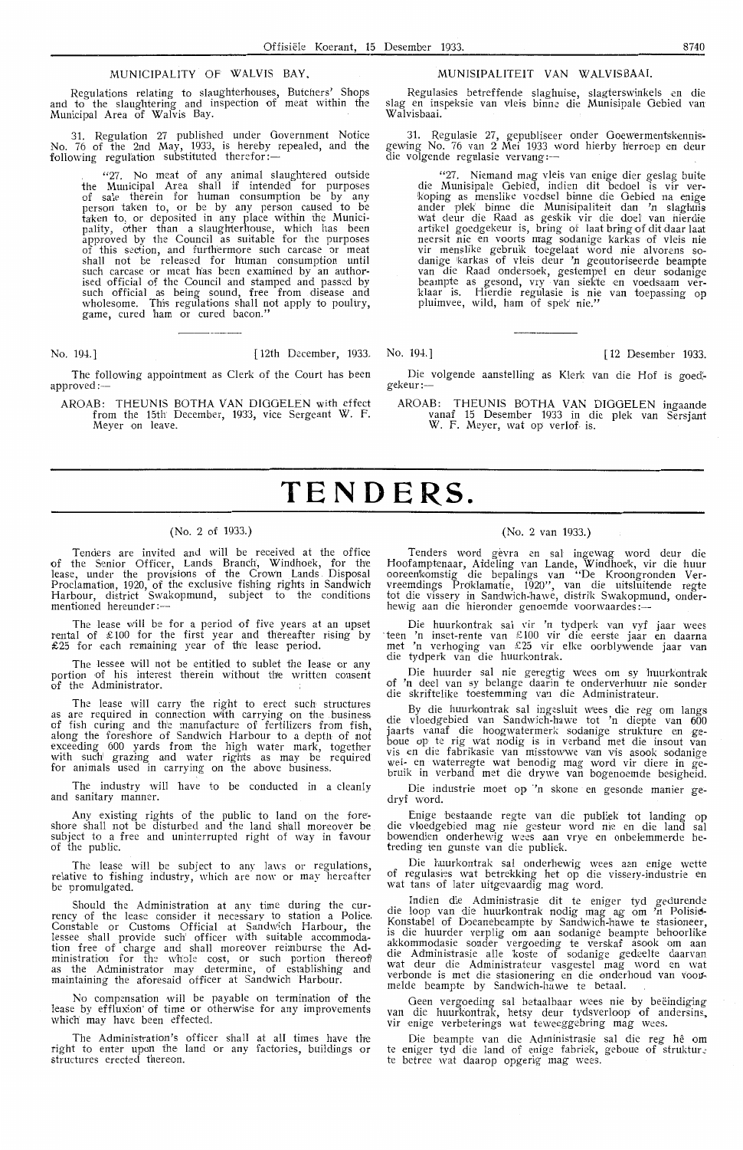#### MUNICIPALITY OF WALVIS BAY,

Regulations relating to slaughterhouses, Butchers' Shops and to the slaughtering and inspection of meat Within the Municipal Area of Walvis Bay.

31. Regulation 27 published under Government Notice No. 76 of the 2nd May, 1933, is hereby repealed, and the following regulation substituted therefor:—

"27. No meat of any animal slaughtered outside the Municipal Area shall if intended for purposes of sale therein for human consumption be by any person taken to, or be by any person caused to be<br>taken to, or deposited in any place within the Municipality, other than a slaughterhouse, which has been approved by the Council as suitable for the purposes of this section, and furthermore such carcase or meat shall not be released for h'ttman oonsumption until such carcase or meat has been examined by an authorised official of the Council and stamped and passed by such official as being sound, free from disease and wholesome. Th'is regulations shall not apply to poultry, game, cured ham or cured bacon.

No. 19-1.] [ 12th December, 1933. No. 19-1.] [ 12 Desember 1933.

The following appointment as Clerk of the Court has been approved:-

AROAB: THEUNIS BOTHA VAN DIOGELEN with effect from the 15th· December, 1933, vice Sergeant W. F. Meyer on leave.

#### MUNISIPALITEIT VAN WALVISBAAI.

Regulasies betreffende slaghuise, slagterswinkels en die slag en inspeksie van vleis binne die Munisipale Oebied van Walvisbaai.

31. Regulasie 27, gepubliseer onder Goewermentskennis-<br>gewing No. 76 van 2 Mei 1933 word hierby herroep en deur die volgende regulasie vervang:-

"27. Niemand mag vleis van enige dier geslag buite die Munisipale Gebied, indien dit bedoel is vir ver-<br>koping as menslike voedsel binne die Gebied na enige ander plek' binne die Munisipaliteit dan 'n slaghuis wat deur die Raad as geskik vir die doel van hierdie<br>artikel goedgekeur is, bring of laat bring of dit daar laat<br>neersit nie en voorts mag sodanige karkas of vleis nie<br>vir menslike gebruik toegelaat word nie alvorens so-<br>d pluimvee, wild, ham of spek nie."

Die volgende aanstelling as Klerk van die Hof is goed. gekeur :-

AROAB: THEUNIS BOTHA VAN DIGOELEN ingaande vanaf 15 Desember 1933 in die plek van Sersjant W. F. Meyer, wat op verlof. is.

## **TENDERS.**

#### (No. 2 of 1933.)

Tenders are invited and will be received at the office of the Senior Officer, Lands Branch, Windhoek, for the lease, under the provisions of the Crown Lands Disposal Proclamation, 1920, of the exclusive fishing rights in Sandwich! Harbour, district Swakopmund, subject to the conditions mentioned hereunder:

The lease will be for a period of five years at an upset rental of £ 100 for the first year and thereafter rising by £25 for each remaining year of the lease period.

The lessee will not be entitled to sublet the lease or any portion of his interest therein without the written consent of the Administrator.

The lease will carry the right to erect such structures as are required in connection with carrying on the .business of fish curing and the manufacture of fertilizers from fish, along the foreshore of Sandwich Harbour to a depth of not exceeding 600 yards from the high Water mark, together with such grazing and water rights as may be required for animals used in carrying on the above business.

The industry will have to be conducted in a cleanly and sanitary manner.

Any existing rights of the public to land on the fore shore shall not be disturbed and the land shall moreover be subject to a free and uninterrupted right of way in favour of the public.

The lease will be subject to any laws or regulations, relative *to* fishing industry, which are now or may hereafter be promulgated.

Should the Administration at any time during the cur- rency of the lease consider it necessary to station a Police, Constable or Customs Official at Sandwich Harbour, the lessee shall provide such officer with suitable accommodation free of charge and shall moreover reimburse the Administration for the whole cost, or such portion thereof as the Administrator may determine, of establishing and maintaining the aforesaid officer at Sandwich Harbour.

No compensation will be payable on termination of the lease by effluxion of time or otherwise for any improvements which may have been effected

The Administration's officer shall at all times have the right to enter upon the land or any factories, buildings or structures erected thereon.

#### {No. 2 van 1933.)

Tenders word gevra en sal ingewag word deur die Hoofamptenaar, Afdeling van Lande, Windhoek, vir die huur<br>ooreen'komstig die bepalings van "De Kroongronden Ver-<br>vreemdings Proklamatie, 1920'', van die uitsluitende regte tot die vissery in Sandwich-hawe, distrik Swakopmund, onderhewig aan die hieronder genoemde voorwaardes:

Die huurkontrak sal vir 'n tydperk van vyf jaar wees · teen 'n inset-rente van £ 100 vir die eerste jaar en daarna met 'n verhoging van £25 Vir elke oorblywende jaar van die tydper'k van die huurkontrak.

Die huurder sal nie geregtig wees om sy huurkontrak of 'n dee! van sy belange daarin te onderverhuur nie sonder die skriftelike toestemming van die Administrateur.

By die huurkontrak sal ingesluit wees die reg om langs die vloedgebied van Sandwich-hawe tot 'n diepte van 600 jaarts vanaf die hoogwatermerk sodanige strukture en geboue op te rig wat nodig is in verband met die insout van vis en die fabrikasie van misstowwe Van vris asook sodanige wei- en waterregte wat benodig mag word vir diere in gebruik in verband met die drywe van bogenoemde besigheid.

Die industrie moet op 'n skone en gesonde manier gedryf word.

Enige bestaande regte van die publiek tot landing op die vloedgebied mag nie gesteur word nie en die land sal bowendien onderhewig wees aan vrye en onbelemmerde betreding ten gunste van die publiek.

Die huurkontrak sal onderhewig wees aan enige wette of regulasies wat betrekking het op die vissery-industrie en wat tans of later uitgevaardig mag word.

lndien die Administrasie dit te eniger tyd gedurende die loop van die huurkontrak nodig mag ag om 'n **Polisia-**Konstabel of Doeanebeampte by Sandwich-hawe te stasioneer, is die huurder verplig om aan sodanige beampte behoorlike akkommodasie sonder vergoeding te verskaf asook om aan die Administrasie alle koste of sodanige gedeelte daarvan wat deur die Administrateur vasgestel mag word en wat verbonde is met die stasionering en die onderhoud van voormelde beampte by Sandwich-hawe te betaal.

Geen vergoeding sal betaalbaar wees nie by beëindiging van die huurkontrak, hetsy deur tydsverloop of andersins. vir enige verbeterings wat teweeggebring mag wees.

Die beampte van die Administrasie sal die reg hê om te eniger tyd die land of enige fabriek, geboue of struktur.<br>te betree wat daarop opgerig mag wees.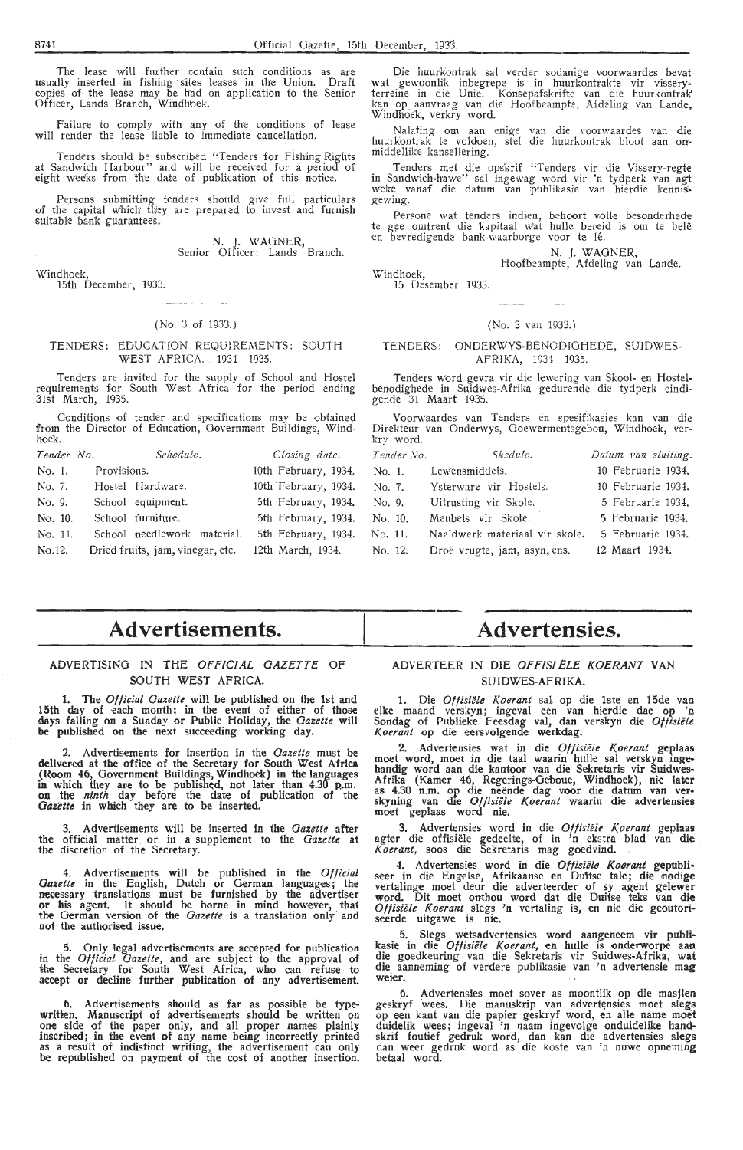The lease will further contain such conditions as are usually inserted in fishing sites leases in the Union. Draft copjes of the lease may be h'ad on application to the Senior Officer, Lands Branch, Windh1oek.

failure to comply with any of the conditions of lease **will** render the lease liable to immediate cancellation.

Tenders should be subscribed "Tenders for Fishing Rights at Sandwich Harbour" and will be received for a period of eight \V'eeks from th'e date of publication of this notice.

Persons submitting tenders should give full particulars of the capital which they are prepared to invest and furnish suitable bank guarantees.

N. J. WAGNER, Senior Officer: Lands Branch.

Windhoek,

15th December, 1933.

#### (No. 3 of 1933.)

#### TENDERS: EDUCATION REQUIREMENTS: SOUTH WEST AFRICA. 1934--1935.

Tenders are invited for the supply of School and Hostel requirements for South West Africa for the period ending 31st March, 1935.

Conditions of tender and specifications may be obtained from the Director of Education, Government Buildings, Windhoek.

| Tender No. | Schedule.                        | Closing date.        |
|------------|----------------------------------|----------------------|
| No. 1.     | Provisions.                      | 10th February, 1934. |
| No. 7.     | Hostel Hardware.                 | 10th February, 1934. |
| No. 9.     | School equipment.                | 5th February, 1934.  |
| No. 10.    | School furniture.                | 5th February, 1934.  |
| No. 11.    | School needlework material.      | 5th February, 1934.  |
| No.12.     | Dried fruits, jam, vinegar, etc. | 12th March', 1934.   |

Die huurkontrak sal verder sodanige voorwaardes bevat wat gewoonli'k inbegrepe is in huurkontrakte vir vissery• terreine in die Unie. Konsepafskrifte van die huurkontrak' kan op aanvraag van die Hoofbeampte, Afdeling van Lande, Windhoek, verkry Word.

Nalating •om aan enige van die voorwaardes van die huur'foontrak te voldoen, stel die huurkontrak bloat aan on- middellike kansellering.

Tenders met die opskrif "Tenders vir die Vissery-regte in Sandwich-hawe" sal ingewag word vir 'n tydperk van agt weke vanaf die datum van publikasie van hierdie kennis-<br>gewing.

Persone wat tenders indien, behoort volle besonderhede te gee omtrent die kapitaal w'at hulle bereid is om te belê<br>en bevredigende bank-waarborge voor te lê.

**N. J. WAGNER,** 

Windhoek, Hoofbeampte, Afdeling van Lande. 15 Desember 1933.

#### (No. 3 van 1933.)

#### TENDERS: ONDERWYS-BENODIGHEDE, SUIDWES-AFRIKA, 1934-1935.

Tenders word gevra vir die lewering van Skool- en Hostelbenodighede in Suidw'es-Afrika gedurende die tydperk eindigende 31 Maart 1935.

Voorw'aardes van Tenders en spesifikasies kan van die Direkteur van Onderwys, Goewermentsgebou, Windhoek, ver-kry word. *Skedule.* 

| Teader No. | Skedule.                       | Datum van sluiting. |
|------------|--------------------------------|---------------------|
| No. 1.     | Lewensmiddels.                 | 10 Februarie 1934.  |
| No. 7.     | Ysterware vir Hostels.         | 10 Februarie 1934.  |
| No. 9.     | Uitrusting vir Skole.          | 5 Februarie 1934,   |
| No. 10.    | Meubels vir Skole.             | 5 Februarie 1934.   |
| No. 11.    | Naaldwerk materiaal vir skole. | 5 Februarie 1934.   |
| No. 12.    | Droë vrugte, jam, asyn, ens.   | 12 Maart 1934.      |

## **Advertisements.**

#### ADVERTISING IN THE *OFFICIAL GAZETTE* OF SOUTH WEST AFRICA.

. 1.. The *Official Gazette* will be published on the 1st and 15th day of each month; in the event of either of those days falling on a Sunday or Public Holiday, the *Gazette* will **be** published on the next succeeding working day.

Advertisements for insertion in the *Gazette* must be delivered at the office of the Secretary for South West **Africa**  (Room 46, Government Buildings, Windhoek) in the languages in which they are to be published, not later than 4.30 p.m. **on** the *ninth* day before the date of publication of the Gazette in which they are to be inserted.

3. Advertisements will be inserted in the *Gazette* after the official matter. or in a supplement to the *Gazette* **at**  the discretion of the Secretary.

4. Advertisements will be published in the *Official Gazette* in the English, Dutch or German languages; the necessary translations must be furnished by the advertiser **or** his agent. It should be borne in mind however, that the German version of the *Gazette* is a translation only and not the authorised issue.

5. Only legal advertisements are accepted for publication in the *Official Gazette,* and are subject to the approval of the Secretary for South West Africa, who can refuse to accept or decline further publication of any advertisement.

6. Advertisements should as far as possible be typewritten. Manuscript of advertisements should be written on one side of the paper only, and all proper names plainly inscribed; in the event of any name being incorrectly printed as a result of indistinct writing, the advertisement can only be republished on payment of the cost of another insertion.

## **Advertensies.**

#### ADYERTEER IN DIE *OFFISIELE KOERANT* VAN SUIDWES-AFRIKA.

1. Die *Offisiële Koerant* sal op die 1ste en 15de van elke maand verskyn; ingeval een van hierdie dae op 'n Sondag of Publieke Feesdag val, dan verskyn die *Offisieit [(oerant* op die eersvolgende werkdag.

2. Advertensies wat in die *Offisiele Koerant* geplaas moet word, moet in die taal waarin hulle sal verskyn ingehandig word aan die kantoor van die Sekretaris vir Suidwes-Afrika (Kamer 46, Regerings-Oeboue, Windhoek), nie later as 4.30 n.m. op die neende dag voor die datum van ver• skyning van die *Offisiele K.oerant* waarin die advertensies moet geplaas word nie.

3. Advertensies word in die *Offisiele Koerant* geplaas agter die offisiële gedeelte, of in 'n ekstra blad van die *[(oerant,* soos die Sekretaris mag goedvind.

4. Advertensies word in die *Offisiële Koerant* gepubli-<br>seer in die Engelse, Afrikaanse en Duitse tale; die nodige vertalinge moet deur die adverteerder of sy agent gelewer word. Dit moet onihou word dat die Duitse teks van die Offisiële Koerant slegs 'n vertaling is, en nie die geoutoriseerde uitgawe is nie.

5. Slegs wetsadvertensies word aangeneem vir publikasie in die *Otfisiele Koerant,* en hulle is onderworpe aan die goedkeuring van die Sekretaris vir Suidwes-Afrika, **wat**  die aannerning of verdere publikasie van 'n advertensie **mag**  weier.

6. Advertensies moet sover as moontlik op die masjien geskryf wees. Die manuskrip van advertensies moet slegs op een kant van die papier geskryf word, en alle name moet duidelik wees; ingeval 'n naam ingevolge onduidelike handskrif foutief gedruk word, dan kan die advertensies slegs dan weer gedruk word as die koste van 'n nuwe opneming betaal word.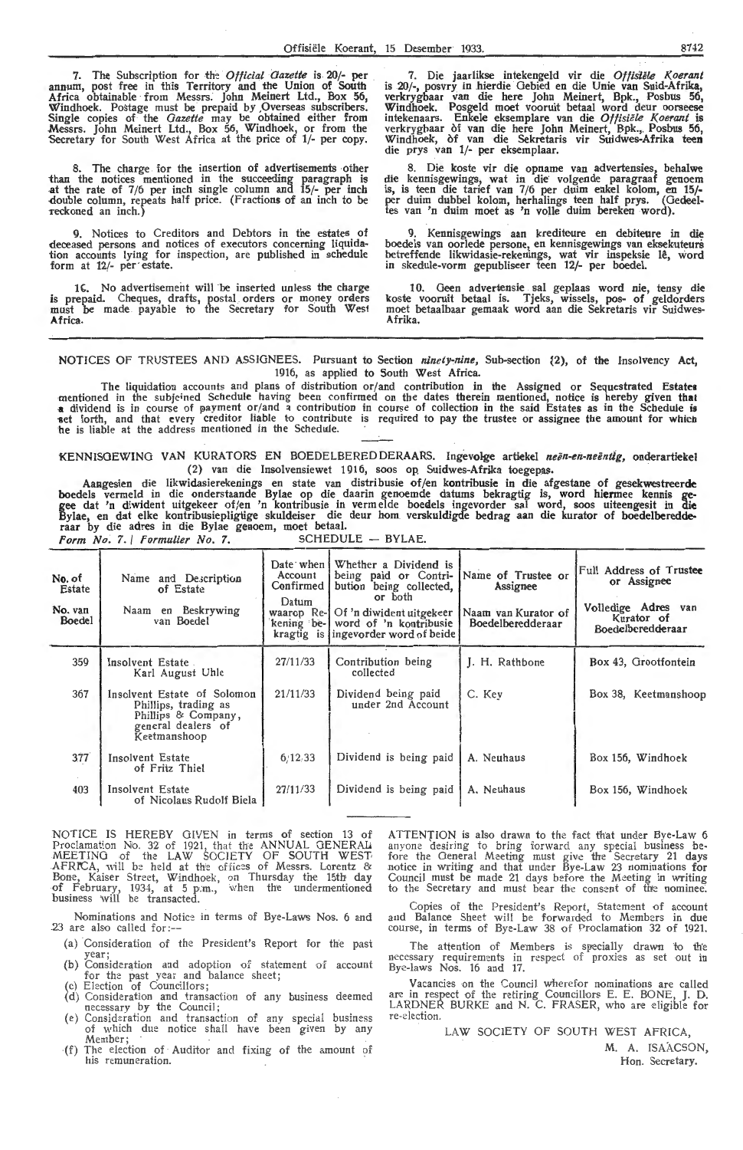7. The Subscription for the *Official Gazette* is 20/- **per**  annum, post free in this Territory and the Union of South Africa obtainable from Messrs. John Meinert Ltd., Box 56, Windhoek. Postage must be prepaid by ,Overseas subscribers. Single copies of the *Gazette* may be obtained either from Messrs. John Meinert Ltd., Box 56, Windhoek, or from the Secretary for South West Africa at the price of **1/-** per copy.

8. The charge for the insertion of advertisements other than the notices mentioned in the succeeding paragraph is .at the rate of 7 /6 per inch single column and 15/- per inch -double column, repeats half price. (Fractions of an inch to be reckoned an inch.)

9. Notices to Creditors and Debtors in the estates of deceased persons and notices of executors concerning liquidation accounts lying for inspection, are published in schedule form at 12/- per· estate.

16. No advertisement will be inserted unless the charge<br>is prepaid. Cheques, drafts, postal orders or money orders must be made payable to the Secretary for South West **Africa.** 

7. Die jaarlikse intekengeld vir die *Offisiële Koerant* is 20/-, posvry in hierdie Gebied en die Unie van Suid-Afrika, verkrygbaar van die here John Meinert, Bpk., Posbus 56, Windhoek. Posgeld moet vooruit betaal word deur oorseese intekenaars. Enkele eksemplare van die *Offisiële Koerant* is verkrygbaar of van die here John Meinert, Bpk., Posbus 56, Windhoek, of van die Sekretaris vir Suidwes-Afrika teen die prys van 1/- per eksemplaar.

8. Die koste vir die opname van advertensies, behalwe die kennisgewings, wat in die· volgende paragraaf genoem is, is teen die tarief van 7/6 per duim enkel kolom, en 15/ per duim dubbel kolom, herhalings teen half prys. (Gedeeltes van 'n duim moet as 'n volle duim bereken word).

9. Kennisgewings aan krediteure en debiteure in die boedels van oorlede persone, en kennisgewings van eksekuteurs betreffende likwidasie-rekenings, wat vir inspeksie lê, word in skedule-vorm gepubliseer teen 12/- per boedel.

10. Geen advertensie sal geplaas word nie, tensy die koste vooruit betaal is. Tjeks, wissels, pos- of geldorders moet betaalbaar gemaak word aan die Sekretaris vir Suidwes-<br>Afrika.

NOTICES OF TRUSTEES AND ASSIGNEES. Pursuant to Section *ninety-nine*, Sub-section  $\{2\}$ , of the Insolvency Act, 1916, as applied to South West Africa.

The liquidation accounts and plans of distribution or/and contribution in the Assigned or Sequestrated **Estates**  mentioned in the subjeined Schedule having been confirmed on the dates therein mentioned, notice is hereby given that<br>a dividend is in course of payment or/and a contribution in course of collection in the said Estates as 11 set forth, and that every creditor liable to contribute is required to pay the trustee or assignee the amount for which he is liable at the address mentioned in the Schedule.

KENNISGEWING VAN KURATORS EN BOEDELBERED DERAARS. Ingevolge artiekel neën-en-neëntig, onderartiekel (2) van die Insolvensiewet 1916, soos op Suidwes-Afrika toegepas.

Aangesien die likwidasierekenings en state van distribusie of/en k**ontribusie in die afgestane of gesekwestreerde** boedels vermeld in die onderstaande Bylae op die daarin genoemde datums bekragtig is, word hiermee kennis gegee dat 'n diwident uitgekeer of/en 'n kontribusie in verm elde boedels ingevorder sal word, soos uiteengesit in die Bylae, en dat elke kontribusiepligtige skuldeiser die deur hom verskuldigde bedrag aan die kurator of boedelberedde-<br>raar by die adres in die Bylae genoem, moet betaal. *Form No:* 7. / *rormulier No.* 7. SCHEDULE - BYLAE.

| No. of<br>Estate<br>No. van<br><b>Boedel</b> | Name and Description<br>of Estate<br>Naam en Beskrywing<br>van Boedel                                            | Date when $\mathsf I$<br>Account<br>Confirmed<br>Datum<br>waarop Re-I | Whether a Dividend is<br>being paid or Contri-<br>bution being collected,<br>or both<br>Of 'n diwident uitgekeer<br>kening be-1 word of 'n kontribusie<br>kragtig is ingevorder word of beide | Name of Trustee or<br>Assignee<br>Naam van Kurator of<br>Boedelberedderaar | Full Address of Trustee<br>or Assignee<br>Volledige Adres van<br>Kurator of<br>Boedelberedderaar |
|----------------------------------------------|------------------------------------------------------------------------------------------------------------------|-----------------------------------------------------------------------|-----------------------------------------------------------------------------------------------------------------------------------------------------------------------------------------------|----------------------------------------------------------------------------|--------------------------------------------------------------------------------------------------|
| 359                                          | Insolvent Estate<br>Karl August Uhle                                                                             | 27/11/33                                                              | Contribution being<br>collected                                                                                                                                                               | J. H. Rathbone                                                             | Box 43, Grootfontein                                                                             |
| 367                                          | Insolvent Estate of Solomon<br>Phillips, trading as<br>Phillips & Company,<br>general dealers of<br>Keetmanshoop | 21/11/33                                                              | Dividend being paid<br>under 2nd Account                                                                                                                                                      | C. Kev                                                                     | Box 38, Keetmanshoop                                                                             |
| 377                                          | Insolvent Estate<br>of Fritz Thiel                                                                               | 6.12.33                                                               | Dividend is being paid                                                                                                                                                                        | A. Neuhaus                                                                 | Box 156, Windhoek                                                                                |
| 403                                          | Insolvent Estate<br>of Nicolaus Rudolf Biela                                                                     | 27/11/33                                                              | Dividend is being paid                                                                                                                                                                        | A. Neuhaus                                                                 | Box 156, Windhoek                                                                                |

NOTICE IS HEREBY GIVEN in terms of section 13 of Proclamation Nio. 32 of 1921, that the ANNUAL GENERAL. MEETING of the LAW SOCIETY OF SOUTH WEST AFRICA, will be held at the offices of Messrs. Lorentz & Bone, Kaiser Street, Windhoek, on Thursday the 15th day of February, 1934, at 5 p.m., when the undermentioned business Will be transacted.

Nominations and Notice in terms of Bye-Laws Nos. 6 and 23 are also called for:--

- (a) Consideration of the President's Report for the past<br>year;<br>(b) Consideration and adoption of statement of account
- for the past year and balance sheet; (c) Election of Councillors;
- ( d) Consideration and transaction of any business deemed necessary by the Council;
- (e) Consideration and transaction of any special business<br>of which due notice shall have been given by any Member;
- (f) The election of Auditor and fixing of the amount of his remuneration.

ATTENTION is also drawn to the fact that under Bye-Law 6 anyone desiring to bring forward any special business be- fore the General Meeting must giv,e the Secretary 21 days notice in writing and that under Bye-Law 23 nominations for Council must be made 21 days before the Meeting in writing to the Secretary and must bear the consent of the nominee.

Copies of the President's Report, Statement of account and Balance Sheet will be forwarded to Members in due<br>course, in terms of Bye-Law 38 of Proclamation 32 of 1921.

The attention of Members is specially drawn to th'e necessary requirements in respect of proxies as set out in Bye-laws Nos. 16 and 17.

Vacancies on the Council wherefor nominations are called are in respect of the retiring Councillors E. E. BONE, J. D. LARDNER BURKE and N. C. FRASER, who are eligible for<br>re-election.

LAW SOCIETY OF SOUTH WEST AFRICA,

M. A. ISAACSON, Hon. Secretary.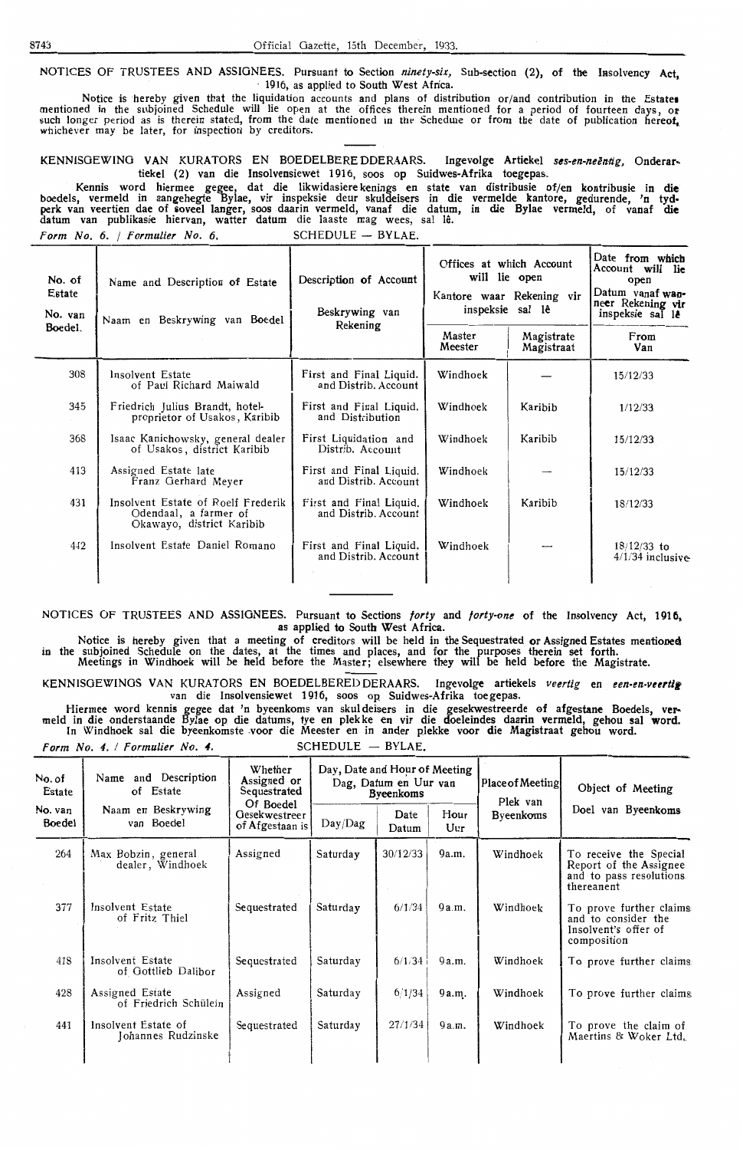NOTICES OF TRUSTEES AND ASSIGNEES. Pursuant to Section ninety-six, Sub-section (2), of the Insolvency Act, · 1916, as applied to South West Africa.

Notice is hereby given that the liquidation accounts and plans of distribution or/and contribution in the Estates<br>mentioned in the subjoined Schedule will lie open at the offices therein mentioned for a period of fourteen whichever may be later, for inspection by creditors.

KENNISGEWING VAN KURATORS EN BOEDELBERE DDERAARS. Ingevolge Artiekel ses-en-neëntig, Onderartiekcl (2) van die Insolvensiewet 1916, soos op Suidwes-Afrika toegcpas.

Kennis word hiermee gegee, dat die likwidasiere kenings en state van distribusie of/en kontribusie in die boedels, vermeld in aangehegte Bylae, vir inspeksie deur skuldeisers in die vermelde kantore, gedurende, 'n tydperk van veertien dae of soveel langer, soos daarin vermeld, vanaf die datum, in die Bylae vermeld, of vanaf di<del>e</del> datum van publikasie hiervan, watter datum die laaste mag wees, sal le.  $Form No. 6. / Formulier No. 6.$  SCHEDULE - BYLAE.

| No. of<br>Estate<br>No. van<br>Boedel. | Name and Description of Estate<br>Naam en Beskrywing van Boedel                          | Description of Account<br>Beskrywing van<br>Rekening | Offices at which Account<br>will lie open<br>Master<br>Meester | Kantore waar Rekening vir<br>inspeksie sal lê<br>Magistrate<br>Magistraat | Date from which<br>Account will lie<br>open<br>Datum vanaf wan-<br>neer Rekening vir<br>inspeksie sal le<br>From<br>Van |
|----------------------------------------|------------------------------------------------------------------------------------------|------------------------------------------------------|----------------------------------------------------------------|---------------------------------------------------------------------------|-------------------------------------------------------------------------------------------------------------------------|
| 308                                    | Insolvent Estate<br>of Paul Richard Maiwald                                              | First and Final Liquid.<br>and Distrib. Account      | Windhoek                                                       |                                                                           | 15/12/33                                                                                                                |
| 345                                    | Friedrich Julius Brandt, hotel-<br>proprietor of Usakos, Karibib                         | First and Final Liquid.<br>and Distribution          | Windhoek                                                       | Karibib                                                                   | 1/12/33                                                                                                                 |
| 368                                    | Isaac Kanichowsky, general dealer<br>of Usakos, district Karibib                         | First Liquidation and<br>Distrib. Account            | Windhoek                                                       | Karibib                                                                   | 15/12/33                                                                                                                |
| 413                                    | Assigned Estate late<br>Franz Gerhard Meyer                                              | First and Final Liquid.<br>and Distrib. Account      | Windhoek                                                       |                                                                           | 15/12/33                                                                                                                |
| 431                                    | Insolvent Estate of Roelf Frederik<br>Odendaal, a farmer of<br>Okawayo, district Karibib | First and Final Liquid.<br>and Distrib. Account      | Windhoek                                                       | Karibib                                                                   | 18/12/33                                                                                                                |
| 442                                    | Insolvent Estate Daniel Romano                                                           | First and Final Liquid.<br>and Distrib. Account      | Windhoek                                                       |                                                                           | $18/12/33$ to<br>$4/1/34$ inclusive                                                                                     |

NOTICES OF TRUSTEES AND ASSIGNEES. Pursuant to Sections forty and forty-one of the Insolvency Act, 1916, as applied to South West Africa.

Notice is hereby given that a meeting of creditors will be held in the Sequestrated or Assigned Estates mentioned in the subjoined Schedule on the dates, at the times and places, and for the purposes therein set forth. Meetings in Windhoek will be held before the Master; elsewhere they will be held before the Magistrate.

KENNISGEWINGS VAN KURATORS EN BOEDELBEREDDERAARS. Ingevolge artiekels veertig en een-en-veertig van die Insolvensiewet 1916, soos op Suidwes-Afrika toe gepas.

Hiermee word kennis gegee dat 'n byeenkoms van skuldeisers in die gesekwestreerde of afgestane Boedels, vermeld in die onderstaande Bylae op die datums, tye en plekke en vir die doeleindes daarin vermeld, gehou sal word. In Windhoek sal die byeenkomste .voor die Meester en in antler plekke voor die Magistraat gehou word.

Form No. 4. / Formulier No. 4. SCHEDULE - BYLAE.

| No. of<br>Estate  | Name and Description<br>of Estate                                                 | Whether<br>Assigned or<br>Sequestrated | Day, Date and Hour of Meeting<br>Dag, Datum en Uur van<br><b>Byeenkoms</b> |               |             | <b>Place of Meeting</b><br>Plek van | Object of Meeting                                                                          |
|-------------------|-----------------------------------------------------------------------------------|----------------------------------------|----------------------------------------------------------------------------|---------------|-------------|-------------------------------------|--------------------------------------------------------------------------------------------|
| No. van<br>Boedel | Of Boedel<br>Naam en Beskrywing<br>Gesekwestreer<br>van Boedel<br>of Afgestaan is |                                        | Day/Dag                                                                    | Date<br>Datum | Hour<br>Uur | Byeenkoms                           | Doel van Byeenkoms                                                                         |
| 264               | Max Bobzin, general<br>dealer, Windhoek                                           | Assigned                               | Saturday                                                                   | 30/12/33      | 9a.m.       | Windhoek                            | To receive the Special<br>Report of the Assignee<br>and to pass resolutions.<br>thereanent |
| 377               | Insolvent Estate<br>of Fritz Thiel                                                | Sequestrated                           | Saturday                                                                   | 6/1/34        | 9a.m.       | Windhoek                            | To prove further claims<br>and to consider the<br>Insolvent's offer of<br>composition      |
| 418               | Insolvent Estate<br>of Gottlieb Dalibor                                           | Sequestrated                           | Saturday                                                                   | 6/1/34        | 9 a.m.      | Windhoek                            | To prove further claims                                                                    |
| 428               | Assigned Estate<br>of Friedrich Schülein                                          | Assigned                               | Saturday                                                                   | 6/1/34        | 9 a.m.      | Windhoek                            | To prove further claims.                                                                   |
| 441               | Insolvent Estate of<br>Johannes Rudzinske                                         | Sequestrated                           | Saturday                                                                   | 27/1/34       | 9a.m.       | Windhoek                            | To prove the claim of<br>Maertins & Woker Ltd.                                             |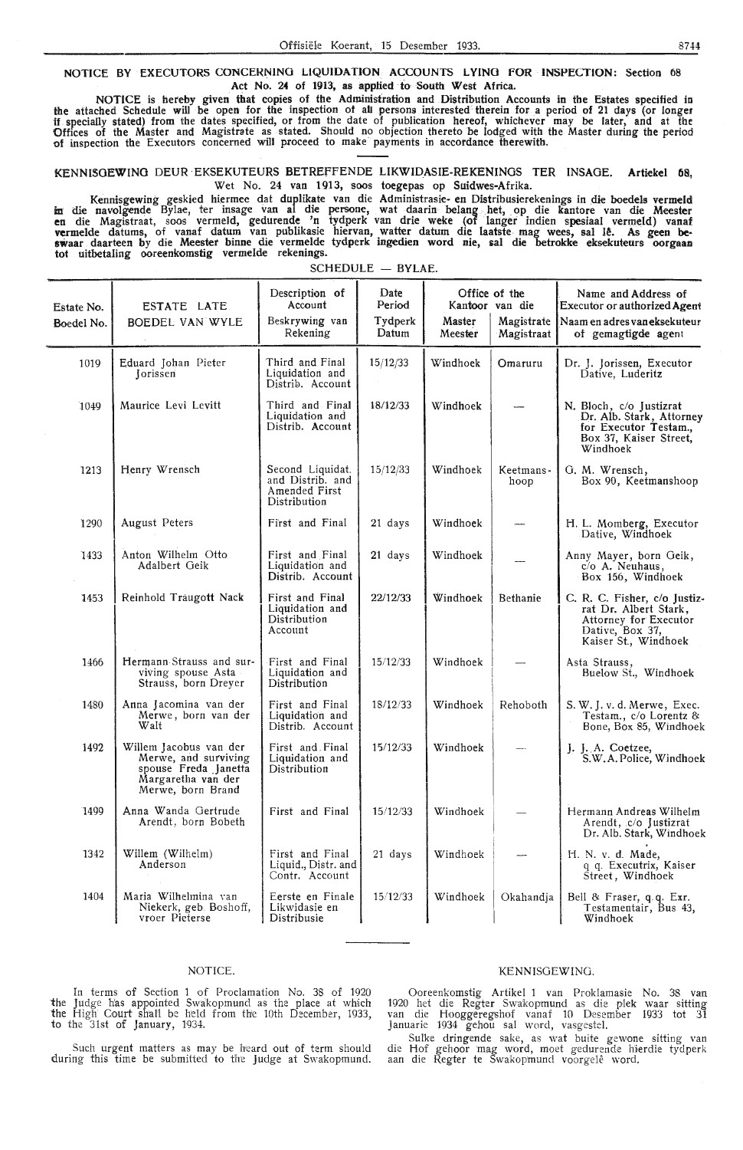NOTICE BY EXECUTORS CONCERNING LIQUIDATION ACCOUNTS LYING FOR INSPECTION: Section 08 Act No. 24 of 1913, as applied to South West Africa.

NOTICE is hereby given that copies of the Administration and Distribution Accounts in the Estates specified in the attached Schedule will be open for the inspection of all persons interested therein for a period of 21 days (or longer if. specially stated) from the dates specified, or from the date of publication hereof, whichever may be later, and at the Offices of the Master and Magistrate as stated. Should no objection thereto be lodged with the Master during the period of inspection the Executors concerned will proceed to make· payments in accordance therewith.

KENNI!SOEWINO DEUR EKSEKUTEURS BETREfFENDE LIKWIDASIE-REKENINOS TER INSAOE. Artiekel 68, Wet No. 24 van 1913, soos toegepas op Suidwes-Afrika.

Kennisgewing geskied hiermee dat duplikate van die Administrasie en Distribusierekenings in die boedels vermeld<br>In die navolgende Bylae, ter insage van al die persone, wat daarin belang het, op die kantore van die Meester<br> vermelde datums, of vanaf datum van publikasie hiervan, watter datum die laatste mag wees, sal Iê. As geen be**swaar** daarteen by die Meester binne die vermelde tydperk ingedien word nie, sal die betrokke eksekuteurs oorgaan tot uitbetaling ooreenkomstig vermelde rekenings.

| Estate No.<br>Boedel No. | ESTATE LATE<br><b>BOEDEL VAN WYLE</b>                                                                             | Description of<br>Account<br>Beskrywing van<br>Rekening               | Date<br>Period<br>Tydperk<br>Datum | Kantoor van die<br>Master<br>Meester | Office of the<br>Magistrate<br>Magistraat | Name and Address of<br>Executor or authorized Agent<br>Naam en adres van eksekuteur<br>of gemagtigde agent                |
|--------------------------|-------------------------------------------------------------------------------------------------------------------|-----------------------------------------------------------------------|------------------------------------|--------------------------------------|-------------------------------------------|---------------------------------------------------------------------------------------------------------------------------|
| 1019                     | Eduard Johan Pieter<br>Jorissen                                                                                   | Third and Final<br>Liquidation and<br>Distrib. Account                | 15/12/33                           | Windhoek                             | Omaruru                                   | Dr. J. Jorissen, Executor<br>Dative, Luderitz                                                                             |
| 1049                     | Maurice Levi Levitt                                                                                               | Third and Final<br>Liquidation and<br>Distrib. Account                | 18/12/33                           | Windhoek                             |                                           | N. Bloch, c/o Justizrat<br>Dr. Alb. Stark, Attorney<br>for Executor Testam.,<br>Box 37, Kaiser Street,<br>Windhoek        |
| 1213                     | Henry Wrensch                                                                                                     | Second Liquidat.<br>and Distrib. and<br>Amended First<br>Distribution | 15/12/33                           | Windhoek                             | Keetmans-<br>hoop                         | G. M. Wrensch,<br>Box 90, Keetmanshoop                                                                                    |
| 1290                     | <b>August Peters</b>                                                                                              | First and Final                                                       | 21 days                            | Windhoek                             |                                           | H. L. Momberg, Executor<br>Dative, Windhoek                                                                               |
| 1433                     | Anton Wilhelm Otto<br>Adalbert Geik                                                                               | First and Final<br>Liquidation and<br>Distrib. Account                | 21 days                            | Windhoek                             |                                           | Anny Mayer, born Geik,<br>c/o A. Neuhaus,<br>Box 156, Windhoek                                                            |
| 1453                     | Reinhold Traugott Nack                                                                                            | First and Final<br>Liquidation and<br>Distribution<br>Account         | 22/12/33                           | Windhoek                             | <b>Bethanie</b>                           | C. R. C. Fisher, c/o Justiz-<br>rat Dr. Albert Stark.<br>Attorney for Executor<br>Dative, Box 37,<br>Kaiser St., Windhoek |
| 1466                     | Hermann Strauss and sur-<br>viving spouse Asta<br>Strauss, born Dreyer                                            | First and Final<br>Liquidation and<br>Distribution                    | 15/12/33                           | Windhoek                             |                                           | Asta Strauss,<br>Buelow St., Windhoek                                                                                     |
| 1480                     | Anna Jacomina van der<br>Merwe, born van der<br>Walt                                                              | First and Final<br>Liquidation and<br>Distrib. Account                | 18/12/33                           | Windhoek                             | Rehoboth                                  | S. W. J. v. d. Merwe, Exec.<br>Testam., c/o Lorentz &<br>Bone, Box 85, Windhoek                                           |
| 1492                     | Willem Jacobus van der<br>Merwe, and surviving<br>spouse Freda Janetta<br>Margaretha van der<br>Merwe, born Brand | First and Final<br>Liquidation and<br>Distribution                    | 15/12/33                           | Windhoek                             |                                           | J. J. A. Coetzee,<br>S.W.A. Police, Windhoek                                                                              |
| 1499                     | Anna Wanda Gertrude<br>Arendt, born Bobeth                                                                        | First and Final                                                       | 15/12/33                           | Windhoek                             |                                           | Hermann Andreas Wilhelm<br>Arendt, c/o Justizrat<br>Dr. Alb. Stark, Windhoek                                              |
| 1342                     | Willem (Wilhelm)<br>Anderson                                                                                      | First and Final<br>Liquid., Distr. and<br>Contr. Account              | 21 days                            | Windhoek                             |                                           | H. N. v. d. Made,<br>q q. Executrix, Kaiser<br>Street, Windhoek                                                           |
| 1404                     | Maria Wilhelmina van<br>Niekerk, geb. Boshoff,<br>vroer Pieterse                                                  | Eerste en Finale<br>Likwidasie en<br>Distribusie                      | 15/12/33                           | Windhoek                             | Okahandia                                 | Bell & Fraser, q.q. Exr.<br>Testamentair, Bus 43,<br>Windhoek                                                             |

SCHEDULE - BYLAE.

#### NOTICE.

In terms of Section 1 of Proclamation No. 38 of 1920 the Judge h'as appointed Swakopmund as the place at which the High Court shall be held from the 10th December, 1933, to the 31st of January, 1934.

Such urgent matters as may be heard out of term should during this time be submitted to the Judge at Swakopmund.

#### KENNISGEWINO.

Ooreenkomstig Artikel 1 van Proklamasie No. 38 van 1920 het die Regter Swa'kopmund as die plek waar sitting van die Hooggeregshof vanaf 10 Desember 1933 tot 31 Januarie 1934 gehou sal Word, vasgestel.

Sulke dringende sake, as wat buite gewone sitting van die Hof gehoor mag word, moet gedurende hierdie tydperk aan die Regter te Swakopmund voorgelê word.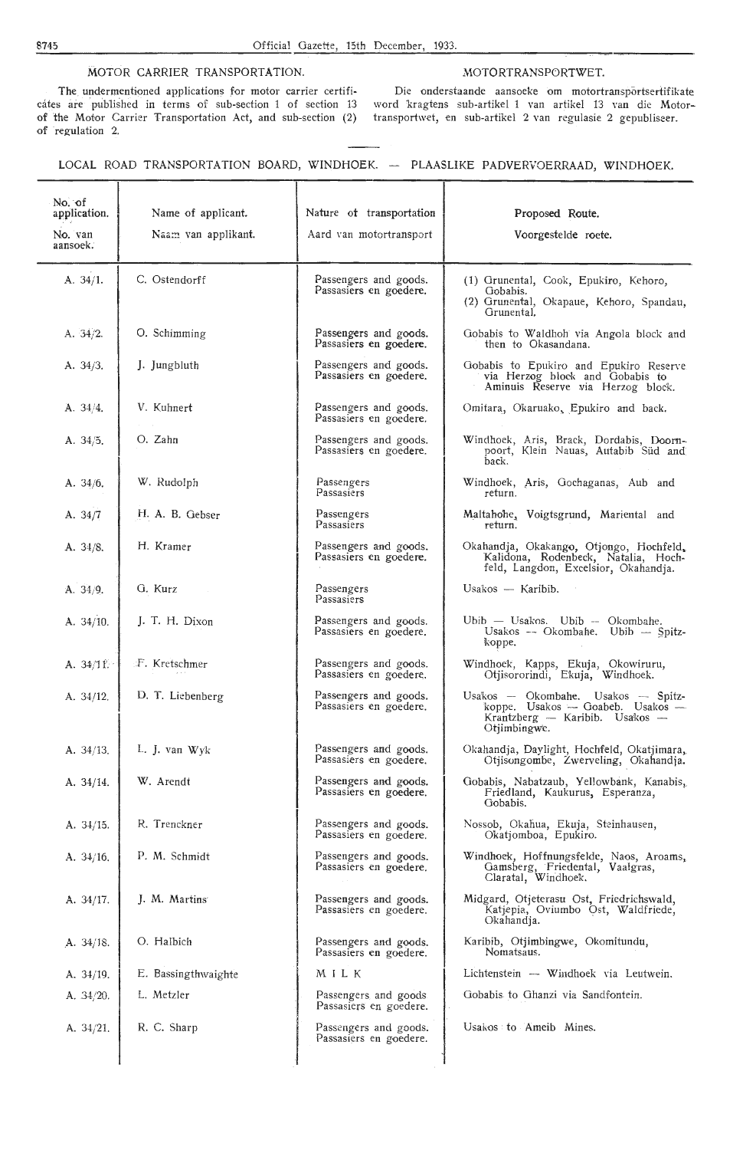#### MOTOR CARRIER TRANSPORTATION. MOTORTRANSPORTWET.

The undermentioned applications for motor carrier certificates are published in terms of sub-section 1 of section 13 of the Motor Carrier Transportation Act, and sub-section (2) of regulation 2.

Die onderstaande aansoeke om motortransportsertifikate word 'kragtens sub-artikel 1 van artikel 13 van die Motortransportwet, en sub-artikel 2 van regulasie 2 gepubliseer.

#### LOCAL ROAD TRANSPORTATION BOARD, WINDHOEK. -- PLAASLIKE PADVERVOERRAAD, WINDHOEK.

| No. of<br>application. | Name of applicant.  | Nature of transportation                        | Proposed Route.                                                                                                            |
|------------------------|---------------------|-------------------------------------------------|----------------------------------------------------------------------------------------------------------------------------|
| No. van<br>aansoek.    | Naam van applikant. | Aard van motortransport                         | Voorgestelde roete.                                                                                                        |
| A. $34/1$ .            | C. Ostendorff       | Passengers and goods.<br>Passasiers en goedere. | (1) Grunental, Cook, Epukiro, Kehoro,<br>Gobabis.<br>(2) Grunental, Okapaue, Kehoro, Spandau,<br>Grunental.                |
| A. 34/2.               | O. Schimming        | Passengers and goods.<br>Passasiers en goedere. | Gobabis to Waldhoh via Angola block and<br>then to Okasandana.                                                             |
| A. 34/3.               | J. Jungbluth        | Passengers and goods.<br>Passasiers en goedere. | Gobabis to Epukiro and Epukiro Reserve<br>via Herzog block and Gobabis to<br>Aminuis Reserve via Herzog block.             |
| A. 34/4.               | V. Kuhnert          | Passengers and goods.<br>Passasiers en goedere. | Omitara, Okaruako, Epukiro and back.                                                                                       |
| A. 34/5.               | O. Zahn             | Passengers and goods.<br>Passasiers en goedere. | Windhoek, Aris, Brack, Dordabis, Doorn-<br>poort, Klein Nauas, Autabib Süd and<br>back.                                    |
| A. 34/6.               | W. Rudolph          | Passengers<br>Passasiers                        | Windhoek, Aris, Gochaganas, Aub and<br>return.                                                                             |
| A. $34/7$              | H. A. B. Gebser     | Passengers<br>Passasiers                        | Maltahohe, Voigtsgrund, Mariental and<br>return.                                                                           |
| A. 34/8.               | H. Kramer           | Passengers and goods.<br>Passasiers en goedere. | Okahandja, Okakango, Otjongo, Hochfeld,<br>Kalidona, Rodenbeck, Natalia, Hoch-<br>feld, Langdon, Excelsior, Okahandja.     |
| A. 34/9.               | G. Kurz             | Passengers<br>Passasiers                        | Usakos — Karibib.                                                                                                          |
| A. 34/10.              | J. T. H. Dixon      | Passengers and goods.<br>Passasiers en goedere. | Ubib - Usakos. Ubib -- Okombahe.<br>Usakos -- Okombahe. Ubib -- Spitz-<br>koppe.                                           |
| A. $34/11$ .           | F. Kretschmer       | Passengers and goods.<br>Passasiers en goedere. | Windhoek, Kapps, Ekuja, Okowiruru,<br>Otjisororindi, Ekuja, Windhoek.                                                      |
| A. 34/12.              | D. T. Liebenberg    | Passengers and goods.<br>Passasiers en goedere. | Usakos -- Okombahe. Usakos -- Spitz-<br>koppe. Usakos - Goabeb. Usakos -<br>Krantzberg — Karibib. Usakos —<br>Otiimbingwe. |
| A. 34/13.              | L. J. van Wyk       | Passengers and goods.<br>Passasiers en goedere. | Okahandja, Daylight, Hochfeld, Okatjimara,<br>Otjisongombe, Zwerveling, Okahandja.                                         |
| A. 34/14.              | W. Arendt           | Passengers and goods.<br>Passasiers en goedere. | Gobabis, Nabatzaub, Yellowbank, Kanabis,<br>Friedland, Kaukurus, Esperanza,<br>Gobabis.                                    |
| A. $34/15$ .           | R. Trenckner        | Passengers and goods.<br>Passasiers en goedere. | Nossob, Okahua, Ekuja, Steinhausen,<br>Okatjomboa, Epukiro.                                                                |
| A. $34/16$ .           | P. M. Schmidt       | Passengers and goods.<br>Passasiers en goedere. | Windhoek, Hoffnungsfelde, Naos, Aroams,<br>Gamsberg, Friedental, Vaalgras,<br>Claratal, Windhoek.                          |
| A. 34/17.              | J. M. Martins       | Passengers and goods.<br>Passasiers en goedere. | Midgard, Otjeterasu Ost, Friedrichswald,<br>Katjepia, Oviumbo Ost, Waldfriede,<br>Okahandja.                               |
| A. 34/18.              | O. Halbich          | Passengers and goods.<br>Passasiers en goedere. | Karibib, Otjimbingwe, Okomitundu,<br>Nomatsaus.                                                                            |
| A. $34/19$ .           | E. Bassingthwaighte | MILK                                            | Lichtenstein -- Windhoek via Leutwein.                                                                                     |
| A. $34/20$ .           | L. Metzler          | Passengers and goods<br>Passasiers en goedere.  | Gobabis to Ghanzi via Sandfontein.                                                                                         |
| A. 34/21.              | R. C. Sharp         | Passengers and goods.<br>Passasiers en goedere. | Usakos to Ameib Mines.                                                                                                     |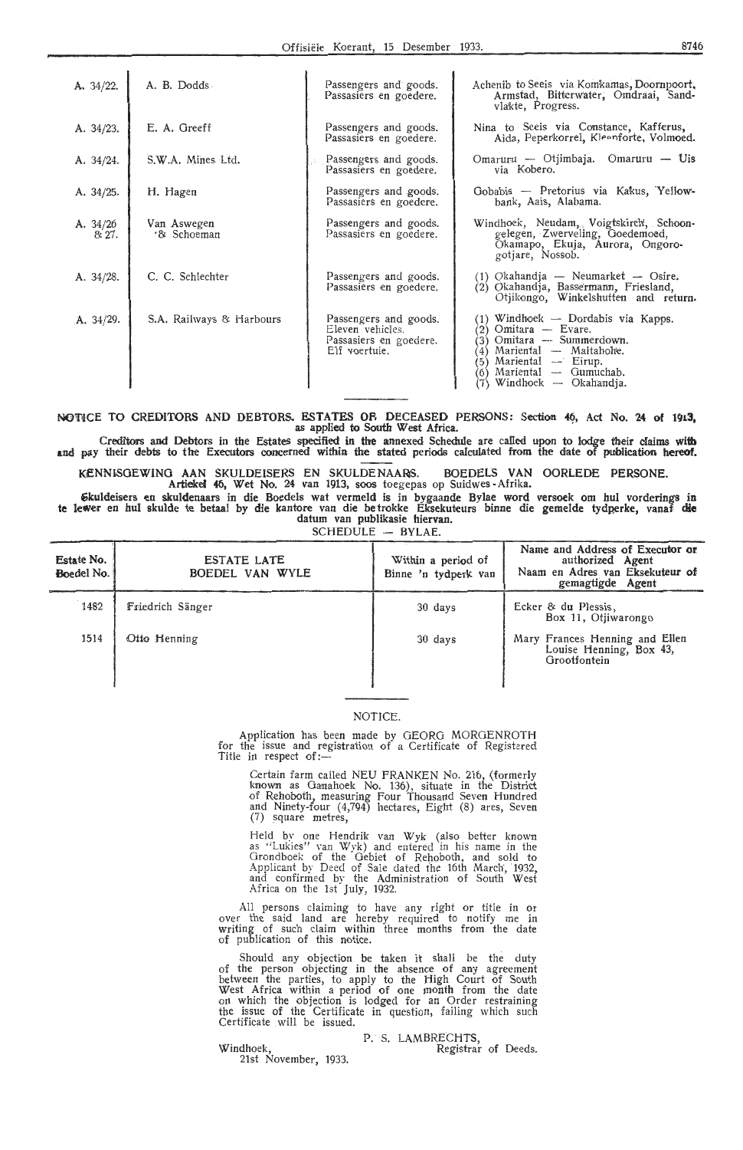| A. $34/22$ .        | A. B. Dodds                | Passengers and goods.<br>Passasiers en goedere.                                      | Achenib to Seejs via Komkamas, Doornpoort,<br>Armstad, Bitterwater, Omdraai, Sand-<br>vlakte, Progress.                                                                                                              |
|---------------------|----------------------------|--------------------------------------------------------------------------------------|----------------------------------------------------------------------------------------------------------------------------------------------------------------------------------------------------------------------|
| A. 34/23.           | E. A. Greeff               | Passengers and goods.<br>Passasiers en goedere.                                      | Nina to Seeis via Constance, Kafferus,<br>Aida, Peperkorrel, Kleenforte, Volmoed.                                                                                                                                    |
| A. $34/24$ .        | S.W.A. Mines Ltd.          | Passengers and goods.<br>Passasiers en goedere.                                      | Omaruru — Otjimbaja. Omaruru — Uis<br>via Kobero.                                                                                                                                                                    |
| A. $34/25$ .        | H. Hagen                   | Passengers and goods.<br>Passasiers en goedere.                                      | Gobabis — Pretorius via Kakus, Yellow-<br>bank, Aais, Alabama.                                                                                                                                                       |
| A. $34/26$<br>8:27. | Van Aswegen<br>'& Schoeman | Passengers and goods.<br>Passasiers en goedere.                                      | Windhoek, Neudam, Voigtskirch, Schoon-<br>gelegen, Zwerveling, Goedemoed,<br>Okamapo, Ekuja, Aurora, Ongoro-<br>gotjare, Nossob.                                                                                     |
| A. $34/28$ .        | C. C. Schlechter           | Passengers and goods.<br>Passasiers en goedere.                                      | (1) Okahandja - Neumarket - Osire.<br>(2) Okahandja, Bassermann, Friesland,<br>Otjikongo, Winkelshutten and return.                                                                                                  |
| A. 34/29.           | S.A. Railways & Harbours   | Passengers and goods.<br>Eleven vehicles.<br>Passasiers en goedere.<br>Elf voertuie. | (1) Windhoek — Dordabis via Kapps.<br>Omitara — Evare.<br>(2)<br>Omitara — Summerdown.<br>3)<br>Mariental - Maltahohe.<br>(4)<br>Mariental -- Eirup.<br>(5)<br>Mariental - Gumuchab.<br>(6)<br>Windhoek — Okahandja. |

**NOTICE TO CREDITORS AND DEBTORS. ESTATES OR DECEASED PERSONS: Section 46, Act No. 24 of 1913,** as applied to South West Africa.

Creditors and Debtors in the Estates specified in the annexed Schedule are called upon to lodge their claims **with**  and pay their debts to the Executors concerned within the stated periods calculated from the date of publication hereof.

KENNiSOEWINO AAN SKULDEISERS EN SKULDENAARS. BOEDELS VAN OORLEDE PERSONE. Artiekel 46, Wet No, 24 van 1913, soos toegepas op Suidwes -Afrika.

Skuldeisers en skuldenaars in die Boedels wat vermeld is in bygaande Bylae word versoek om hul vorderings **in**  te lewer en hul skulde te betaal by die kantore van die be*trokke Eksekuteurs binne die gemelde t*ydperke, vanaf die datum van publikasie hiervan.

SCHEDULE - BYLAE.

| Estate No.<br>Boedel No. | ESTATE LATE<br>BOEDEL VAN WYLE | Within a period of<br>Binne 'n tydperk van | Name and Address of Executor or<br>authorized Agent<br>Naam en Adres van Eksekuteur of<br>gemagtigde Agent |
|--------------------------|--------------------------------|--------------------------------------------|------------------------------------------------------------------------------------------------------------|
| 1482                     | Friedrich Sänger               | 30 days                                    | Ecker & du Plessis,<br>Box 11, Otiiwarongo                                                                 |
| 1514                     | Otto Henning                   | 30 days                                    | Mary Frances Henning and Ellen<br>Louise Henning, Box 43,<br>Grootfontein                                  |

#### NOTICE.

Application has been made by GEORG MORGENROTH for the issue and registration of a Certificate of Registered<br>Title in respect of:—

Certain farm called NEU FRANKEN No. 216, (formerly known as Ganahoek No. 136), situate in the District of Rehoboth, measuring Four Thousand Seven Hundred and Ninety-four (4,794) hectares, Eight (8) ares, Seven (7) square metres,

Held by one Hendrik van Wyk (also better known<br>as "Lukies" van Wyk) and entered in his name in the Grondboek of the Gebiet of Rehoboth, and sold to Applicant by Deed of Sale dated the 16th March, 1932, and confirmed by the Administration of South West Africa on the 1st July, 1932.

All persons claiming to have any right or title in or over the said land are hereby required to notify me in writing of such claim within three months from the date of publication of this notice.

Should any objection be taken it shall be the duty of the person objecting in the absence of any agreement between the parties, to apply to the High Court of South West Africa within a period of one month from the date on which the objection is lodged for an Order restraining the issue of the Certificate in question, failing which such Certificate will be issued.

Windhoek, 21st November, 1933. P. S. LAMBRECHTS,

Registrar of Deeds.